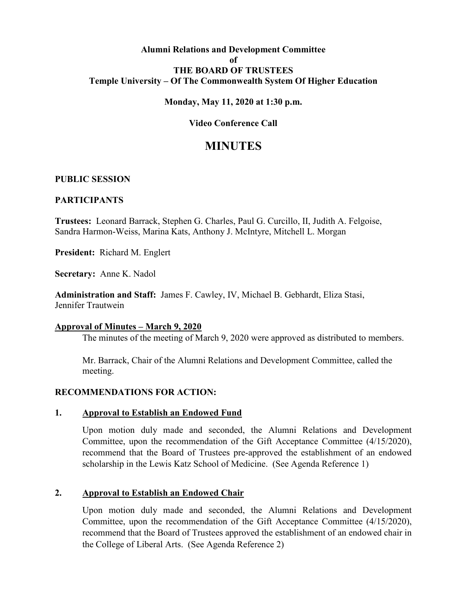## **Alumni Relations and Development Committee of THE BOARD OF TRUSTEES Temple University – Of The Commonwealth System Of Higher Education**

## **Monday, May 11, 2020 at 1:30 p.m.**

# **Video Conference Call**

# **MINUTES**

#### **PUBLIC SESSION**

#### **PARTICIPANTS**

**Trustees:** Leonard Barrack, Stephen G. Charles, Paul G. Curcillo, II, Judith A. Felgoise, Sandra Harmon-Weiss, Marina Kats, Anthony J. McIntyre, Mitchell L. Morgan

**President:** Richard M. Englert

**Secretary:** Anne K. Nadol

**Administration and Staff:** James F. Cawley, IV, Michael B. Gebhardt, Eliza Stasi, Jennifer Trautwein

#### **Approval of Minutes – March 9, 2020**

The minutes of the meeting of March 9, 2020 were approved as distributed to members.

Mr. Barrack, Chair of the Alumni Relations and Development Committee, called the meeting.

#### **RECOMMENDATIONS FOR ACTION:**

#### **1. Approval to Establish an Endowed Fund**

Upon motion duly made and seconded, the Alumni Relations and Development Committee, upon the recommendation of the Gift Acceptance Committee (4/15/2020), recommend that the Board of Trustees pre-approved the establishment of an endowed scholarship in the Lewis Katz School of Medicine. (See Agenda Reference 1)

#### **2. Approval to Establish an Endowed Chair**

Upon motion duly made and seconded, the Alumni Relations and Development Committee, upon the recommendation of the Gift Acceptance Committee (4/15/2020), recommend that the Board of Trustees approved the establishment of an endowed chair in the College of Liberal Arts. (See Agenda Reference 2)